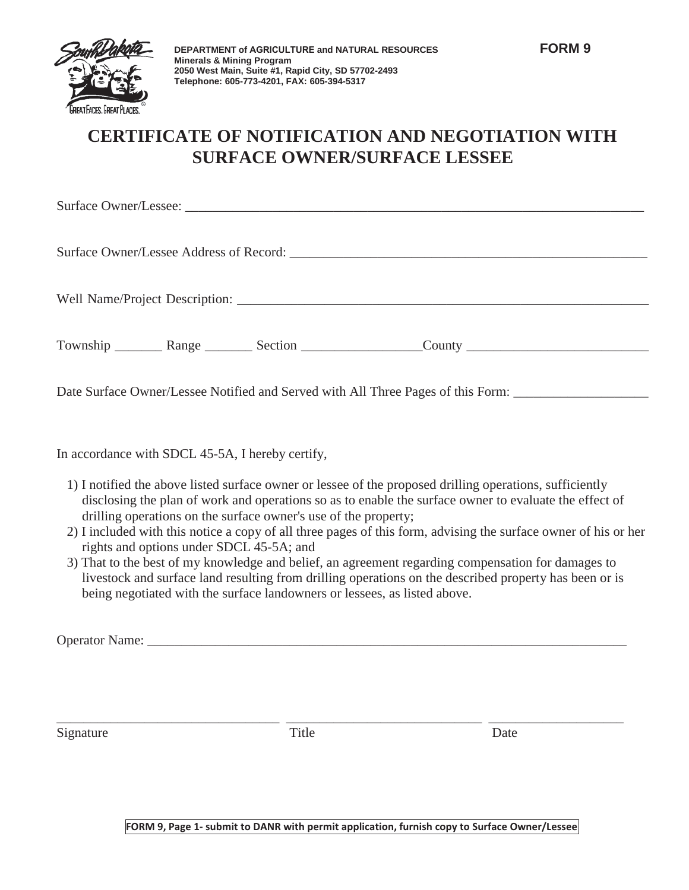

## **CERTIFICATE OF NOTIFICATION AND NEGOTIATION WITH SURFACE OWNER/SURFACE LESSEE**

|  |  |  | Township _________ Range _________ Section ___________________County _______________________________ |
|--|--|--|------------------------------------------------------------------------------------------------------|
|  |  |  |                                                                                                      |

Date Surface Owner/Lessee Notified and Served with All Three Pages of this Form: \_\_\_\_\_\_\_\_\_\_\_\_\_\_\_\_\_\_\_\_\_\_\_\_\_\_\_\_\_

In accordance with SDCL 45-5A, I hereby certify,

- 1) I notified the above listed surface owner or lessee of the proposed drilling operations, sufficiently disclosing the plan of work and operations so as to enable the surface owner to evaluate the effect of drilling operations on the surface owner's use of the property;
- 2) I included with this notice a copy of all three pages of this form, advising the surface owner of his or her rights and options under SDCL 45-5A; and
- 3) That to the best of my knowledge and belief, an agreement regarding compensation for damages to livestock and surface land resulting from drilling operations on the described property has been or is being negotiated with the surface landowners or lessees, as listed above.

Operator Name: \_\_\_\_\_\_\_\_\_\_\_\_\_\_\_\_\_\_\_\_\_\_\_\_\_\_\_\_\_\_\_\_\_\_\_\_\_\_\_\_\_\_\_\_\_\_\_\_\_\_\_\_\_\_\_\_\_\_\_\_\_\_\_\_\_\_\_\_\_\_\_

Signature Date Date

\_\_\_\_\_\_\_\_\_\_\_\_\_\_\_\_\_\_\_\_\_\_\_\_\_\_\_\_\_\_\_\_\_ \_\_\_\_\_\_\_\_\_\_\_\_\_\_\_\_\_\_\_\_\_\_\_\_\_\_\_\_\_ \_\_\_\_\_\_\_\_\_\_\_\_\_\_\_\_\_\_\_\_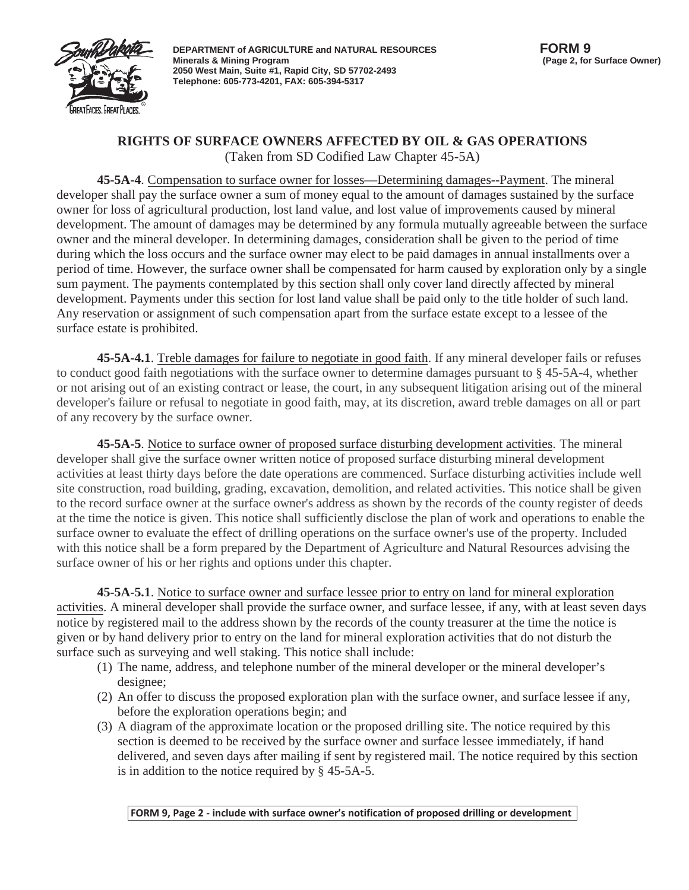

**DEPARTMENT of AGRICULTURE and NATURAL RESOURCES Minerals & Mining Program 2050 West Main, Suite #1, Rapid City, SD 57702-2493 Telephone: 605-773-4201, FAX: 605-394-5317**

## **RIGHTS OF SURFACE OWNERS AFFECTED BY OIL & GAS OPERATIONS** (Taken from SD Codified Law Chapter 45-5A)

**45-5A-4**. Compensation to surface owner for losses—Determining damages--Payment. The mineral developer shall pay the surface owner a sum of money equal to the amount of damages sustained by the surface owner for loss of agricultural production, lost land value, and lost value of improvements caused by mineral development. The amount of damages may be determined by any formula mutually agreeable between the surface owner and the mineral developer. In determining damages, consideration shall be given to the period of time during which the loss occurs and the surface owner may elect to be paid damages in annual installments over a period of time. However, the surface owner shall be compensated for harm caused by exploration only by a single sum payment. The payments contemplated by this section shall only cover land directly affected by mineral development. Payments under this section for lost land value shall be paid only to the title holder of such land. Any reservation or assignment of such compensation apart from the surface estate except to a lessee of the surface estate is prohibited.

**45-5A-4.1**. Treble damages for failure to negotiate in good faith. If any mineral developer fails or refuses to conduct good faith negotiations with the surface owner to determine damages pursuant to § 45-5A-4, whether or not arising out of an existing contract or lease, the court, in any subsequent litigation arising out of the mineral developer's failure or refusal to negotiate in good faith, may, at its discretion, award treble damages on all or part of any recovery by the surface owner.

**45-5A-5**. Notice to surface owner of proposed surface disturbing development activities. The mineral developer shall give the surface owner written notice of proposed surface disturbing mineral development activities at least thirty days before the date operations are commenced. Surface disturbing activities include well site construction, road building, grading, excavation, demolition, and related activities. This notice shall be given to the record surface owner at the surface owner's address as shown by the records of the county register of deeds at the time the notice is given. This notice shall sufficiently disclose the plan of work and operations to enable the surface owner to evaluate the effect of drilling operations on the surface owner's use of the property. Included with this notice shall be a form prepared by the Department of Agriculture and Natural Resources advising the surface owner of his or her rights and options under this chapter.

**45-5A-5.1**. Notice to surface owner and surface lessee prior to entry on land for mineral exploration activities. A mineral developer shall provide the surface owner, and surface lessee, if any, with at least seven days notice by registered mail to the address shown by the records of the county treasurer at the time the notice is given or by hand delivery prior to entry on the land for mineral exploration activities that do not disturb the surface such as surveying and well staking. This notice shall include:

- (1) The name, address, and telephone number of the mineral developer or the mineral developer's designee;
- (2) An offer to discuss the proposed exploration plan with the surface owner, and surface lessee if any, before the exploration operations begin; and
- (3) A diagram of the approximate location or the proposed drilling site. The notice required by this section is deemed to be received by the surface owner and surface lessee immediately, if hand delivered, and seven days after mailing if sent by registered mail. The notice required by this section is in addition to the notice required by § 45-5A-5.